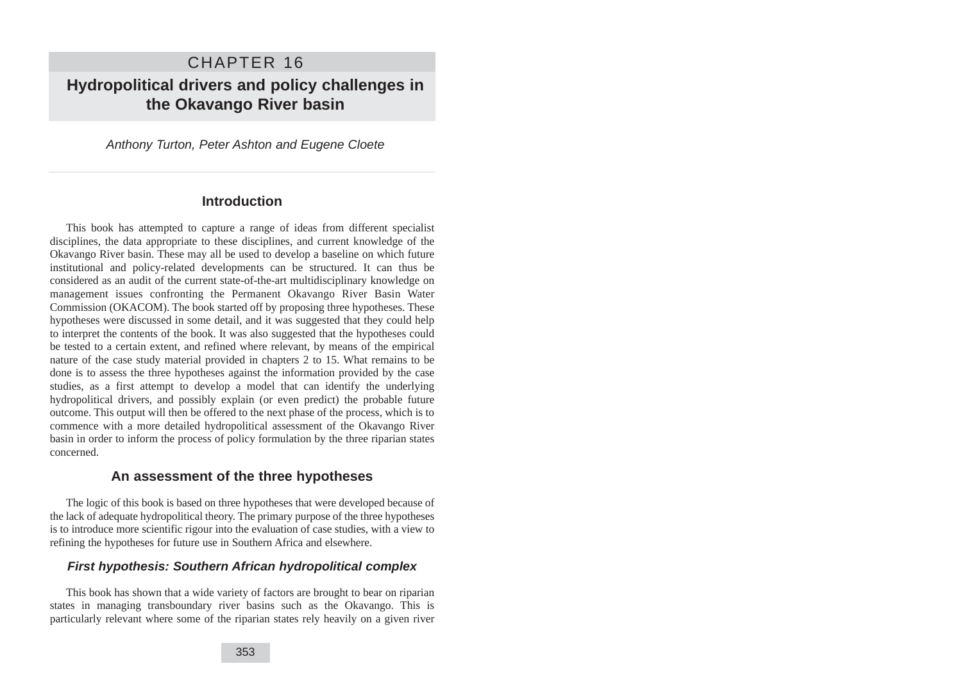# CHAPTER 16 **Hydropolitical drivers and policy challenges in the Okavango River basin**

Anthony Turton, Peter Ashton and Eugene Cloete

## **Introduction**

This book has attempted to capture a range of ideas from different specialist disciplines, the data appropriate to these disciplines, and current knowledge of the Okavango River basin. These may all be used to develop a baseline on which future institutional and policy-related developments can be structured. It can thus be considered as an audit of the current state-of-the-art multidisciplinary knowledge on management issues confronting the Permanent Okavango River Basin Water Commission (OKACOM). The book started off by proposing three hypotheses. These hypotheses were discussed in some detail, and it was suggested that they could help to interpret the contents of the book. It was also suggested that the hypotheses could be tested to a certain extent, and refined where relevant, by means of the empirical nature of the case study material provided in chapters 2 to 15. What remains to be done is to assess the three hypotheses against the information provided by the case studies, as a first attempt to develop a model that can identify the underlying hydropolitical drivers, and possibly explain (or even predict) the probable future outcome. This output will then be offered to the next phase of the process, which is to commence with a more detailed hydropolitical assessment of the Okavango River basin in order to inform the process of policy formulation by the three riparian states concerned.

## **An assessment of the three hypotheses**

The logic of this book is based on three hypotheses that were developed because of the lack of adequate hydropolitical theory. The primary purpose of the three hypotheses is to introduce more scientific rigour into the evaluation of case studies, with a view to refining the hypotheses for future use in Southern Africa and elsewhere.

## **First hypothesis: Southern African hydropolitical complex**

This book has shown that a wide variety of factors are brought to bear on riparian states in managing transboundary river basins such as the Okavango. This is particularly relevant where some of the riparian states rely heavily on a given river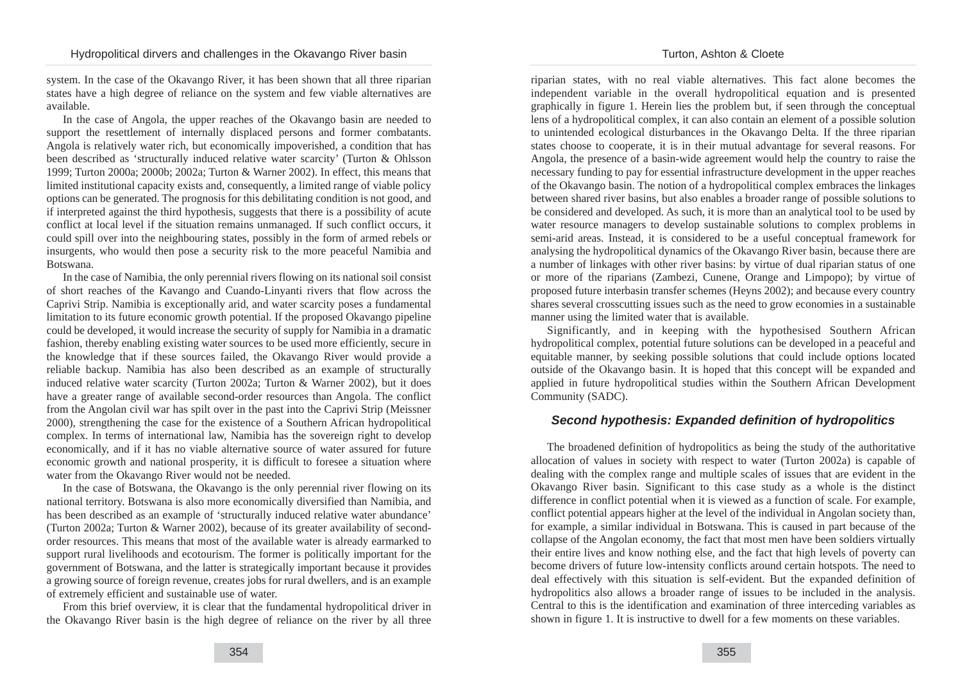system. In the case of the Okavango River, it has been shown that all three riparian states have a high degree of reliance on the system and few viable alternatives are available.

In the case of Angola, the upper reaches of the Okavango basin are needed to support the resettlement of internally displaced persons and former combatants. Angola is relatively water rich, but economically impoverished, a condition that has been described as 'structurally induced relative water scarcity' (Turton & Ohlsson 1999; Turton 2000a; 2000b; 2002a; Turton & Warner 2002). In effect, this means that limited institutional capacity exists and, consequently, a limited range of viable policy options can be generated. The prognosis for this debilitating condition is not good, and if interpreted against the third hypothesis, suggests that there is a possibility of acute conflict at local level if the situation remains unmanaged. If such conflict occurs, it could spill over into the neighbouring states, possibly in the form of armed rebels or insurgents, who would then pose a security risk to the more peaceful Namibia and Botswana.

In the case of Namibia, the only perennial rivers flowing on its national soil consist of short reaches of the Kavango and Cuando-Linyanti rivers that flow across the Caprivi Strip. Namibia is exceptionally arid, and water scarcity poses a fundamental limitation to its future economic growth potential. If the proposed Okavango pipeline could be developed, it would increase the security of supply for Namibia in a dramatic fashion, thereby enabling existing water sources to be used more efficiently, secure in the knowledge that if these sources failed, the Okavango River would provide a reliable backup. Namibia has also been described as an example of structurally induced relative water scarcity (Turton 2002a; Turton & Warner 2002), but it does have a greater range of available second-order resources than Angola. The conflict from the Angolan civil war has spilt over in the past into the Caprivi Strip (Meissner 2000), strengthening the case for the existence of a Southern African hydropolitical complex. In terms of international law, Namibia has the sovereign right to develop economically, and if it has no viable alternative source of water assured for future economic growth and national prosperity, it is difficult to foresee a situation where water from the Okavango River would not be needed.

In the case of Botswana, the Okavango is the only perennial river flowing on its national territory. Botswana is also more economically diversified than Namibia, and has been described as an example of 'structurally induced relative water abundance' (Turton 2002a; Turton & Warner 2002), because of its greater availability of secondorder resources. This means that most of the available water is already earmarked to support rural livelihoods and ecotourism. The former is politically important for the government of Botswana, and the latter is strategically important because it provides a growing source of foreign revenue, creates jobs for rural dwellers, and is an example of extremely efficient and sustainable use of water.

From this brief overview, it is clear that the fundamental hydropolitical driver in the Okavango River basin is the high degree of reliance on the river by all three riparian states, with no real viable alternatives. This fact alone becomes the independent variable in the overall hydropolitical equation and is presented graphically in figure 1. Herein lies the problem but, if seen through the conceptual lens of a hydropolitical complex, it can also contain an element of a possible solution to unintended ecological disturbances in the Okavango Delta. If the three riparian states choose to cooperate, it is in their mutual advantage for several reasons. For Angola, the presence of a basin-wide agreement would help the country to raise the necessary funding to pay for essential infrastructure development in the upper reaches of the Okavango basin. The notion of a hydropolitical complex embraces the linkages between shared river basins, but also enables a broader range of possible solutions to be considered and developed. As such, it is more than an analytical tool to be used by water resource managers to develop sustainable solutions to complex problems in semi-arid areas. Instead, it is considered to be a useful conceptual framework for analysing the hydropolitical dynamics of the Okavango River basin, because there are a number of linkages with other river basins: by virtue of dual riparian status of one or more of the riparians (Zambezi, Cunene, Orange and Limpopo); by virtue of proposed future interbasin transfer schemes (Heyns 2002); and because every country shares several crosscutting issues such as the need to grow economies in a sustainable manner using the limited water that is available.

Significantly, and in keeping with the hypothesised Southern African hydropolitical complex, potential future solutions can be developed in a peaceful and equitable manner, by seeking possible solutions that could include options located outside of the Okavango basin. It is hoped that this concept will be expanded and applied in future hydropolitical studies within the Southern African Development Community (SADC).

## **Second hypothesis: Expanded definition of hydropolitics**

The broadened definition of hydropolitics as being the study of the authoritative allocation of values in society with respect to water (Turton 2002a) is capable of dealing with the complex range and multiple scales of issues that are evident in the Okavango River basin. Significant to this case study as a whole is the distinct difference in conflict potential when it is viewed as a function of scale. For example, conflict potential appears higher at the level of the individual in Angolan society than, for example, a similar individual in Botswana. This is caused in part because of the collapse of the Angolan economy, the fact that most men have been soldiers virtually their entire lives and know nothing else, and the fact that high levels of poverty can become drivers of future low-intensity conflicts around certain hotspots. The need to deal effectively with this situation is self-evident. But the expanded definition of hydropolitics also allows a broader range of issues to be included in the analysis. Central to this is the identification and examination of three interceding variables as shown in figure 1. It is instructive to dwell for a few moments on these variables.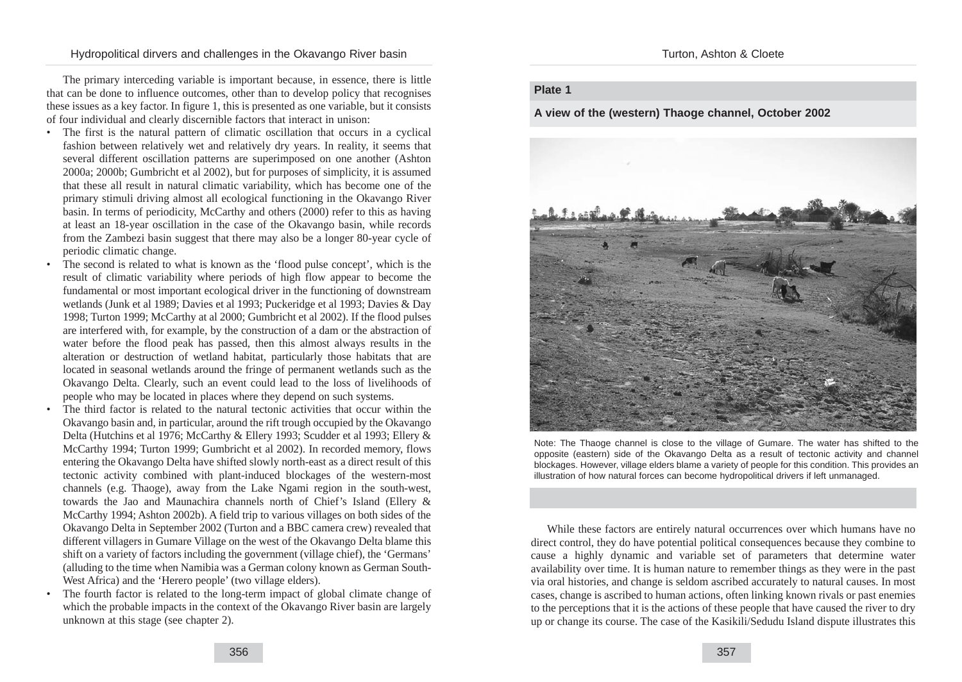The primary interceding variable is important because, in essence, there is little that can be done to influence outcomes, other than to develop policy that recognises these issues as a key factor. In figure 1, this is presented as one variable, but it consists of four individual and clearly discernible factors that interact in unison:

- The first is the natural pattern of climatic oscillation that occurs in a cyclical fashion between relatively wet and relatively dry years. In reality, it seems that several different oscillation patterns are superimposed on one another (Ashton 2000a; 2000b; Gumbricht et al 2002), but for purposes of simplicity, it is assumed that these all result in natural climatic variability, which has become one of the primary stimuli driving almost all ecological functioning in the Okavango River basin. In terms of periodicity, McCarthy and others (2000) refer to this as having at least an 18-year oscillation in the case of the Okavango basin, while records from the Zambezi basin suggest that there may also be a longer 80-year cycle of periodic climatic change.
- The second is related to what is known as the 'flood pulse concept', which is the result of climatic variability where periods of high flow appear to become the fundamental or most important ecological driver in the functioning of downstream wetlands (Junk et al 1989; Davies et al 1993; Puckeridge et al 1993; Davies & Day 1998; Turton 1999; McCarthy at al 2000; Gumbricht et al 2002). If the flood pulses are interfered with, for example, by the construction of a dam or the abstraction of water before the flood peak has passed, then this almost always results in the alteration or destruction of wetland habitat, particularly those habitats that are located in seasonal wetlands around the fringe of permanent wetlands such as the Okavango Delta. Clearly, such an event could lead to the loss of livelihoods of people who may be located in places where they depend on such systems.
- The third factor is related to the natural tectonic activities that occur within the Okavango basin and, in particular, around the rift trough occupied by the Okavango Delta (Hutchins et al 1976; McCarthy & Ellery 1993; Scudder et al 1993; Ellery & McCarthy 1994; Turton 1999; Gumbricht et al 2002). In recorded memory, flows entering the Okavango Delta have shifted slowly north-east as a direct result of this tectonic activity combined with plant-induced blockages of the western-most channels (e.g. Thaoge), away from the Lake Ngami region in the south-west, towards the Jao and Maunachira channels north of Chief's Island (Ellery & McCarthy 1994; Ashton 2002b). A field trip to various villages on both sides of the Okavango Delta in September 2002 (Turton and a BBC camera crew) revealed that different villagers in Gumare Village on the west of the Okavango Delta blame this shift on a variety of factors including the government (village chief), the 'Germans' (alluding to the time when Namibia was a German colony known as German South-West Africa) and the 'Herero people' (two village elders).
- The fourth factor is related to the long-term impact of global climate change of which the probable impacts in the context of the Okavango River basin are largely unknown at this stage (see chapter 2).

356

Turton, Ashton & Cloete

#### **Plate 1**

**A view of the (western) Thaoge channel, October 2002**



Note: The Thaoge channel is close to the village of Gumare. The water has shifted to the opposite (eastern) side of the Okavango Delta as a result of tectonic activity and channel blockages. However, village elders blame a variety of people for this condition. This provides an illustration of how natural forces can become hydropolitical drivers if left unmanaged.

While these factors are entirely natural occurrences over which humans have no direct control, they do have potential political consequences because they combine to cause a highly dynamic and variable set of parameters that determine water availability over time. It is human nature to remember things as they were in the past via oral histories, and change is seldom ascribed accurately to natural causes. In most cases, change is ascribed to human actions, often linking known rivals or past enemies to the perceptions that it is the actions of these people that have caused the river to dry up or change its course. The case of the Kasikili/Sedudu Island dispute illustrates this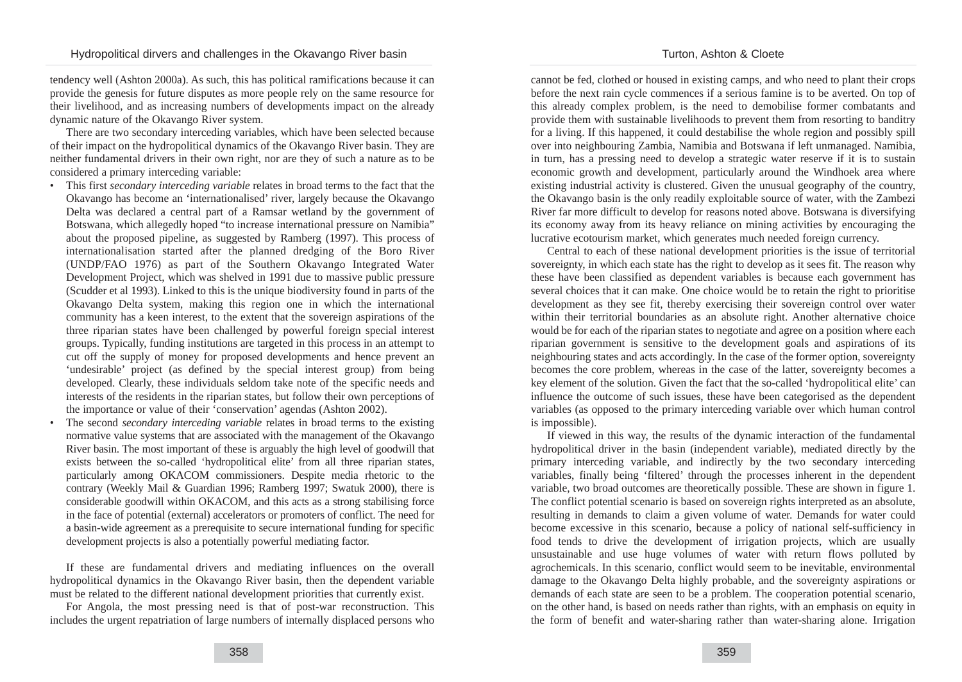tendency well (Ashton 2000a). As such, this has political ramifications because it can provide the genesis for future disputes as more people rely on the same resource for their livelihood, and as increasing numbers of developments impact on the already dynamic nature of the Okavango River system.

There are two secondary interceding variables, which have been selected because of their impact on the hydropolitical dynamics of the Okavango River basin. They are neither fundamental drivers in their own right, nor are they of such a nature as to be considered a primary interceding variable:

- This first *secondary interceding variable* relates in broad terms to the fact that the Okavango has become an 'internationalised' river, largely because the Okavango Delta was declared a central part of a Ramsar wetland by the government of Botswana, which allegedly hoped "to increase international pressure on Namibia" about the proposed pipeline, as suggested by Ramberg (1997). This process of internationalisation started after the planned dredging of the Boro River (UNDP/FAO 1976) as part of the Southern Okavango Integrated Water Development Project, which was shelved in 1991 due to massive public pressure (Scudder et al 1993). Linked to this is the unique biodiversity found in parts of the Okavango Delta system, making this region one in which the international community has a keen interest, to the extent that the sovereign aspirations of the three riparian states have been challenged by powerful foreign special interest groups. Typically, funding institutions are targeted in this process in an attempt to cut off the supply of money for proposed developments and hence prevent an 'undesirable' project (as defined by the special interest group) from being developed. Clearly, these individuals seldom take note of the specific needs and interests of the residents in the riparian states, but follow their own perceptions of the importance or value of their 'conservation' agendas (Ashton 2002).
- The second *secondary interceding variable* relates in broad terms to the existing normative value systems that are associated with the management of the Okavango River basin. The most important of these is arguably the high level of goodwill that exists between the so-called 'hydropolitical elite' from all three riparian states, particularly among OKACOM commissioners. Despite media rhetoric to the contrary (Weekly Mail & Guardian 1996; Ramberg 1997; Swatuk 2000), there is considerable goodwill within OKACOM, and this acts as a strong stabilising force in the face of potential (external) accelerators or promoters of conflict. The need for a basin-wide agreement as a prerequisite to secure international funding for specific development projects is also a potentially powerful mediating factor.

If these are fundamental drivers and mediating influences on the overall hydropolitical dynamics in the Okavango River basin, then the dependent variable must be related to the different national development priorities that currently exist.

For Angola, the most pressing need is that of post-war reconstruction. This includes the urgent repatriation of large numbers of internally displaced persons who cannot be fed, clothed or housed in existing camps, and who need to plant their crops before the next rain cycle commences if a serious famine is to be averted. On top of this already complex problem, is the need to demobilise former combatants and provide them with sustainable livelihoods to prevent them from resorting to banditry for a living. If this happened, it could destabilise the whole region and possibly spill over into neighbouring Zambia, Namibia and Botswana if left unmanaged. Namibia, in turn, has a pressing need to develop a strategic water reserve if it is to sustain economic growth and development, particularly around the Windhoek area where existing industrial activity is clustered. Given the unusual geography of the country, the Okavango basin is the only readily exploitable source of water, with the Zambezi River far more difficult to develop for reasons noted above. Botswana is diversifying its economy away from its heavy reliance on mining activities by encouraging the lucrative ecotourism market, which generates much needed foreign currency.

Central to each of these national development priorities is the issue of territorial sovereignty, in which each state has the right to develop as it sees fit. The reason why these have been classified as dependent variables is because each government has several choices that it can make. One choice would be to retain the right to prioritise development as they see fit, thereby exercising their sovereign control over water within their territorial boundaries as an absolute right. Another alternative choice would be for each of the riparian states to negotiate and agree on a position where each riparian government is sensitive to the development goals and aspirations of its neighbouring states and acts accordingly. In the case of the former option, sovereignty becomes the core problem, whereas in the case of the latter, sovereignty becomes a key element of the solution. Given the fact that the so-called 'hydropolitical elite' can influence the outcome of such issues, these have been categorised as the dependent variables (as opposed to the primary interceding variable over which human control is impossible).

If viewed in this way, the results of the dynamic interaction of the fundamental hydropolitical driver in the basin (independent variable), mediated directly by the primary interceding variable, and indirectly by the two secondary interceding variables, finally being 'filtered' through the processes inherent in the dependent variable, two broad outcomes are theoretically possible. These are shown in figure 1. The conflict potential scenario is based on sovereign rights interpreted as an absolute, resulting in demands to claim a given volume of water. Demands for water could become excessive in this scenario, because a policy of national self-sufficiency in food tends to drive the development of irrigation projects, which are usually unsustainable and use huge volumes of water with return flows polluted by agrochemicals. In this scenario, conflict would seem to be inevitable, environmental damage to the Okavango Delta highly probable, and the sovereignty aspirations or demands of each state are seen to be a problem. The cooperation potential scenario, on the other hand, is based on needs rather than rights, with an emphasis on equity in the form of benefit and water-sharing rather than water-sharing alone. Irrigation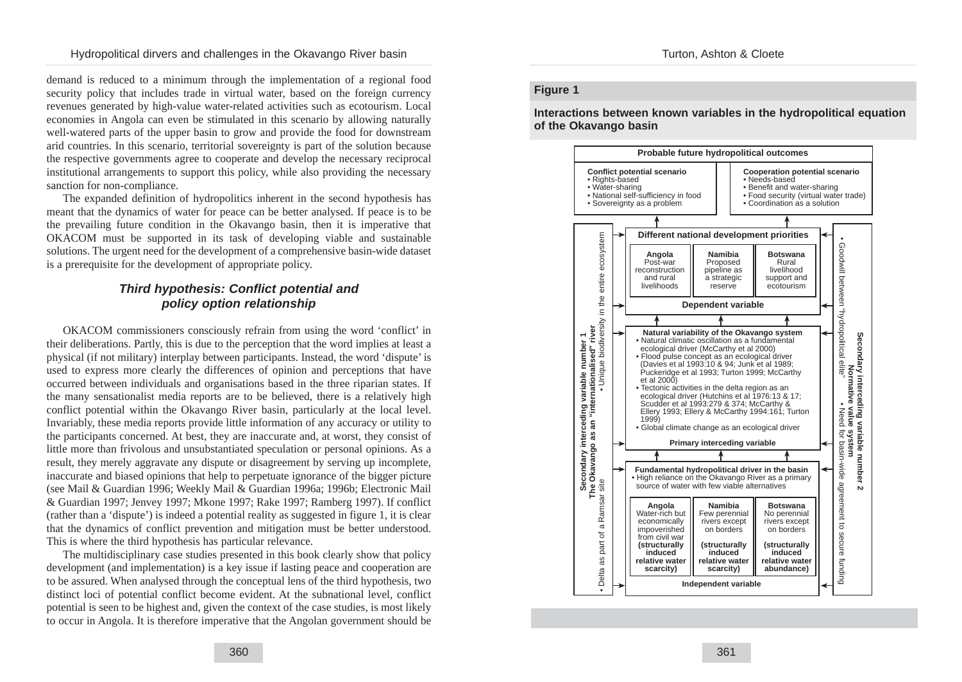demand is reduced to a minimum through the implementation of a regional food security policy that includes trade in virtual water, based on the foreign currency revenues generated by high-value water-related activities such as ecotourism. Local economies in Angola can even be stimulated in this scenario by allowing naturally well-watered parts of the upper basin to grow and provide the food for downstream arid countries. In this scenario, territorial sovereignty is part of the solution because the respective governments agree to cooperate and develop the necessary reciprocal institutional arrangements to support this policy, while also providing the necessary sanction for non-compliance.

The expanded definition of hydropolitics inherent in the second hypothesis has meant that the dynamics of water for peace can be better analysed. If peace is to be the prevailing future condition in the Okavango basin, then it is imperative that OKACOM must be supported in its task of developing viable and sustainable solutions. The urgent need for the development of a comprehensive basin-wide dataset is a prerequisite for the development of appropriate policy.

# **Third hypothesis: Conflict potential and policy option relationship**

OKACOM commissioners consciously refrain from using the word 'conflict' in their deliberations. Partly, this is due to the perception that the word implies at least a physical (if not military) interplay between participants. Instead, the word 'dispute' is used to express more clearly the differences of opinion and perceptions that have occurred between individuals and organisations based in the three riparian states. If the many sensationalist media reports are to be believed, there is a relatively high conflict potential within the Okavango River basin, particularly at the local level. Invariably, these media reports provide little information of any accuracy or utility to the participants concerned. At best, they are inaccurate and, at worst, they consist of little more than frivolous and unsubstantiated speculation or personal opinions. As a result, they merely aggravate any dispute or disagreement by serving up incomplete, inaccurate and biased opinions that help to perpetuate ignorance of the bigger picture (see Mail & Guardian 1996; Weekly Mail & Guardian 1996a; 1996b; Electronic Mail & Guardian 1997; Jenvey 1997; Mkone 1997; Rake 1997; Ramberg 1997). If conflict (rather than a 'dispute') is indeed a potential reality as suggested in figure 1, it is clear that the dynamics of conflict prevention and mitigation must be better understood. This is where the third hypothesis has particular relevance.

The multidisciplinary case studies presented in this book clearly show that policy development (and implementation) is a key issue if lasting peace and cooperation are to be assured. When analysed through the conceptual lens of the third hypothesis, two distinct loci of potential conflict become evident. At the subnational level, conflict potential is seen to be highest and, given the context of the case studies, is most likely to occur in Angola. It is therefore imperative that the Angolan government should be

#### **Figure 1**

**Interactions between known variables in the hydropolitical equation of the Okavango basin** 

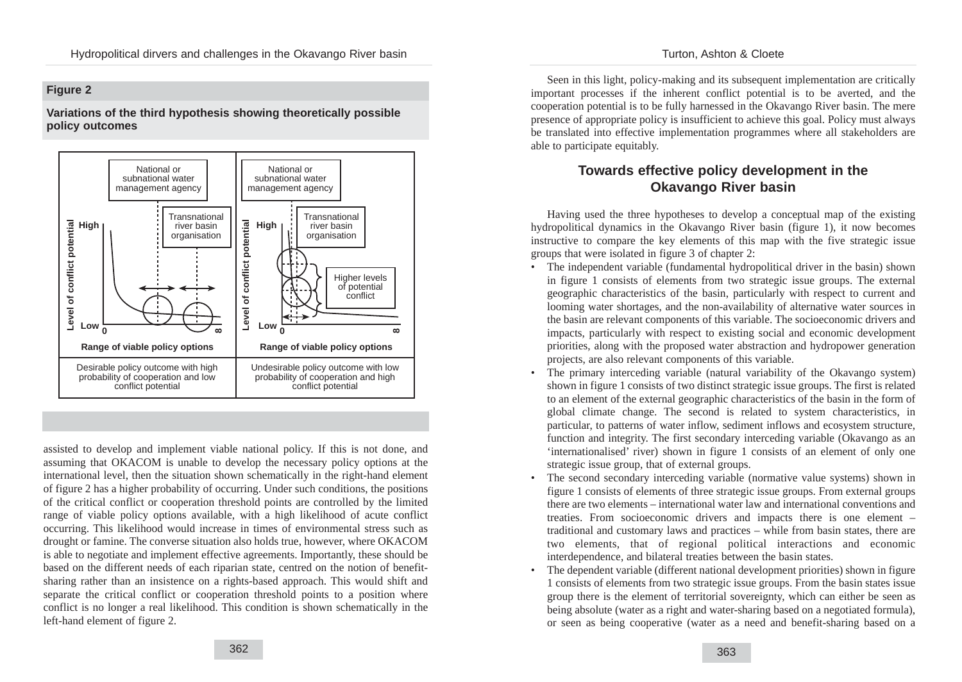#### Turton, Ashton & Cloete

## **Figure 2**

## **Variations of the third hypothesis showing theoretically possible policy outcomes**



assisted to develop and implement viable national policy. If this is not done, and assuming that OKACOM is unable to develop the necessary policy options at the international level, then the situation shown schematically in the right-hand element of figure 2 has a higher probability of occurring. Under such conditions, the positions of the critical conflict or cooperation threshold points are controlled by the limited range of viable policy options available, with a high likelihood of acute conflict occurring. This likelihood would increase in times of environmental stress such as drought or famine. The converse situation also holds true, however, where OKACOM is able to negotiate and implement effective agreements. Importantly, these should be based on the different needs of each riparian state, centred on the notion of benefitsharing rather than an insistence on a rights-based approach. This would shift and separate the critical conflict or cooperation threshold points to a position where conflict is no longer a real likelihood. This condition is shown schematically in the left-hand element of figure 2.

Seen in this light, policy-making and its subsequent implementation are critically important processes if the inherent conflict potential is to be averted, and the cooperation potential is to be fully harnessed in the Okavango River basin. The mere presence of appropriate policy is insufficient to achieve this goal. Policy must always be translated into effective implementation programmes where all stakeholders are able to participate equitably.

# **Towards effective policy development in the Okavango River basin**

Having used the three hypotheses to develop a conceptual map of the existing hydropolitical dynamics in the Okavango River basin (figure 1), it now becomes instructive to compare the key elements of this map with the five strategic issue groups that were isolated in figure 3 of chapter 2:

- The independent variable (fundamental hydropolitical driver in the basin) shown in figure 1 consists of elements from two strategic issue groups. The external geographic characteristics of the basin, particularly with respect to current and looming water shortages, and the non-availability of alternative water sources in the basin are relevant components of this variable. The socioeconomic drivers and impacts, particularly with respect to existing social and economic development priorities, along with the proposed water abstraction and hydropower generation projects, are also relevant components of this variable.
- The primary interceding variable (natural variability of the Okavango system) shown in figure 1 consists of two distinct strategic issue groups. The first is related to an element of the external geographic characteristics of the basin in the form of global climate change. The second is related to system characteristics, in particular, to patterns of water inflow, sediment inflows and ecosystem structure, function and integrity. The first secondary interceding variable (Okavango as an 'internationalised' river) shown in figure 1 consists of an element of only one strategic issue group, that of external groups.
- The second secondary interceding variable (normative value systems) shown in figure 1 consists of elements of three strategic issue groups. From external groups there are two elements – international water law and international conventions and treaties. From socioeconomic drivers and impacts there is one element – traditional and customary laws and practices – while from basin states, there are two elements, that of regional political interactions and economic interdependence, and bilateral treaties between the basin states.
- The dependent variable (different national development priorities) shown in figure 1 consists of elements from two strategic issue groups. From the basin states issue group there is the element of territorial sovereignty, which can either be seen as being absolute (water as a right and water-sharing based on a negotiated formula), or seen as being cooperative (water as a need and benefit-sharing based on a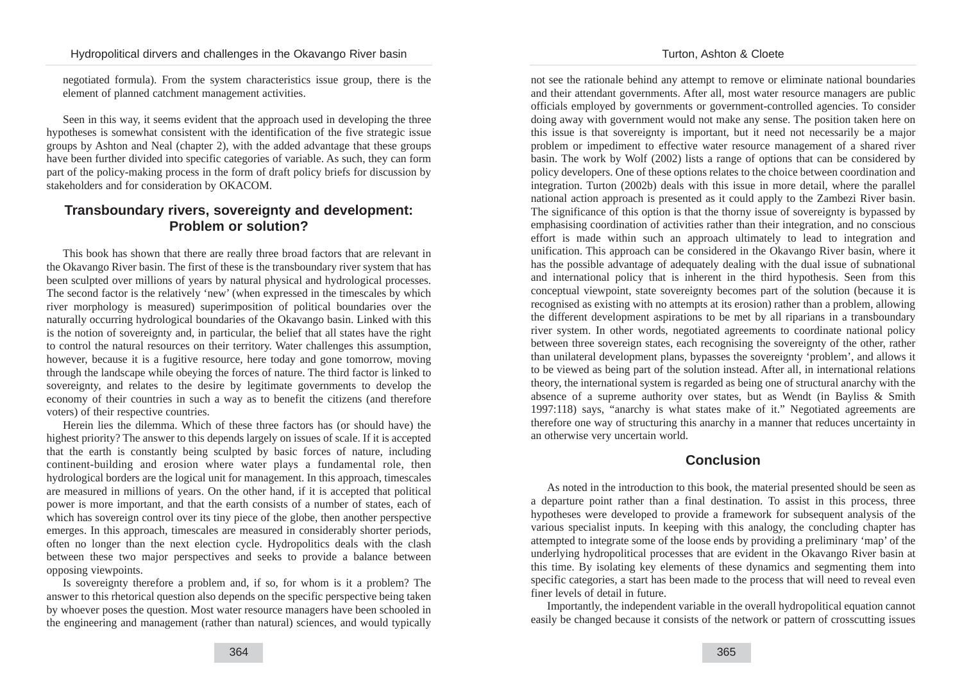negotiated formula). From the system characteristics issue group, there is the element of planned catchment management activities.

Seen in this way, it seems evident that the approach used in developing the three hypotheses is somewhat consistent with the identification of the five strategic issue groups by Ashton and Neal (chapter 2), with the added advantage that these groups have been further divided into specific categories of variable. As such, they can form part of the policy-making process in the form of draft policy briefs for discussion by stakeholders and for consideration by OKACOM.

# **Transboundary rivers, sovereignty and development: Problem or solution?**

This book has shown that there are really three broad factors that are relevant in the Okavango River basin. The first of these is the transboundary river system that has been sculpted over millions of years by natural physical and hydrological processes. The second factor is the relatively 'new' (when expressed in the timescales by which river morphology is measured) superimposition of political boundaries over the naturally occurring hydrological boundaries of the Okavango basin. Linked with this is the notion of sovereignty and, in particular, the belief that all states have the right to control the natural resources on their territory. Water challenges this assumption, however, because it is a fugitive resource, here today and gone tomorrow, moving through the landscape while obeying the forces of nature. The third factor is linked to sovereignty, and relates to the desire by legitimate governments to develop the economy of their countries in such a way as to benefit the citizens (and therefore voters) of their respective countries.

Herein lies the dilemma. Which of these three factors has (or should have) the highest priority? The answer to this depends largely on issues of scale. If it is accepted that the earth is constantly being sculpted by basic forces of nature, including continent-building and erosion where water plays a fundamental role, then hydrological borders are the logical unit for management. In this approach, timescales are measured in millions of years. On the other hand, if it is accepted that political power is more important, and that the earth consists of a number of states, each of which has sovereign control over its tiny piece of the globe, then another perspective emerges. In this approach, timescales are measured in considerably shorter periods, often no longer than the next election cycle. Hydropolitics deals with the clash between these two major perspectives and seeks to provide a balance between opposing viewpoints.

Is sovereignty therefore a problem and, if so, for whom is it a problem? The answer to this rhetorical question also depends on the specific perspective being taken by whoever poses the question. Most water resource managers have been schooled in the engineering and management (rather than natural) sciences, and would typically

#### Turton, Ashton & Cloete

not see the rationale behind any attempt to remove or eliminate national boundaries and their attendant governments. After all, most water resource managers are public officials employed by governments or government-controlled agencies. To consider doing away with government would not make any sense. The position taken here on this issue is that sovereignty is important, but it need not necessarily be a major problem or impediment to effective water resource management of a shared river basin. The work by Wolf (2002) lists a range of options that can be considered by policy developers. One of these options relates to the choice between coordination and integration. Turton (2002b) deals with this issue in more detail, where the parallel national action approach is presented as it could apply to the Zambezi River basin. The significance of this option is that the thorny issue of sovereignty is bypassed by emphasising coordination of activities rather than their integration, and no conscious effort is made within such an approach ultimately to lead to integration and unification. This approach can be considered in the Okavango River basin, where it has the possible advantage of adequately dealing with the dual issue of subnational and international policy that is inherent in the third hypothesis. Seen from this conceptual viewpoint, state sovereignty becomes part of the solution (because it is recognised as existing with no attempts at its erosion) rather than a problem, allowing the different development aspirations to be met by all riparians in a transboundary river system. In other words, negotiated agreements to coordinate national policy between three sovereign states, each recognising the sovereignty of the other, rather than unilateral development plans, bypasses the sovereignty 'problem', and allows it to be viewed as being part of the solution instead. After all, in international relations theory, the international system is regarded as being one of structural anarchy with the absence of a supreme authority over states, but as Wendt (in Bayliss & Smith 1997:118) says, "anarchy is what states make of it." Negotiated agreements are therefore one way of structuring this anarchy in a manner that reduces uncertainty in an otherwise very uncertain world.

# **Conclusion**

As noted in the introduction to this book, the material presented should be seen as a departure point rather than a final destination. To assist in this process, three hypotheses were developed to provide a framework for subsequent analysis of the various specialist inputs. In keeping with this analogy, the concluding chapter has attempted to integrate some of the loose ends by providing a preliminary 'map' of the underlying hydropolitical processes that are evident in the Okavango River basin at this time. By isolating key elements of these dynamics and segmenting them into specific categories, a start has been made to the process that will need to reveal even finer levels of detail in future.

Importantly, the independent variable in the overall hydropolitical equation cannot easily be changed because it consists of the network or pattern of crosscutting issues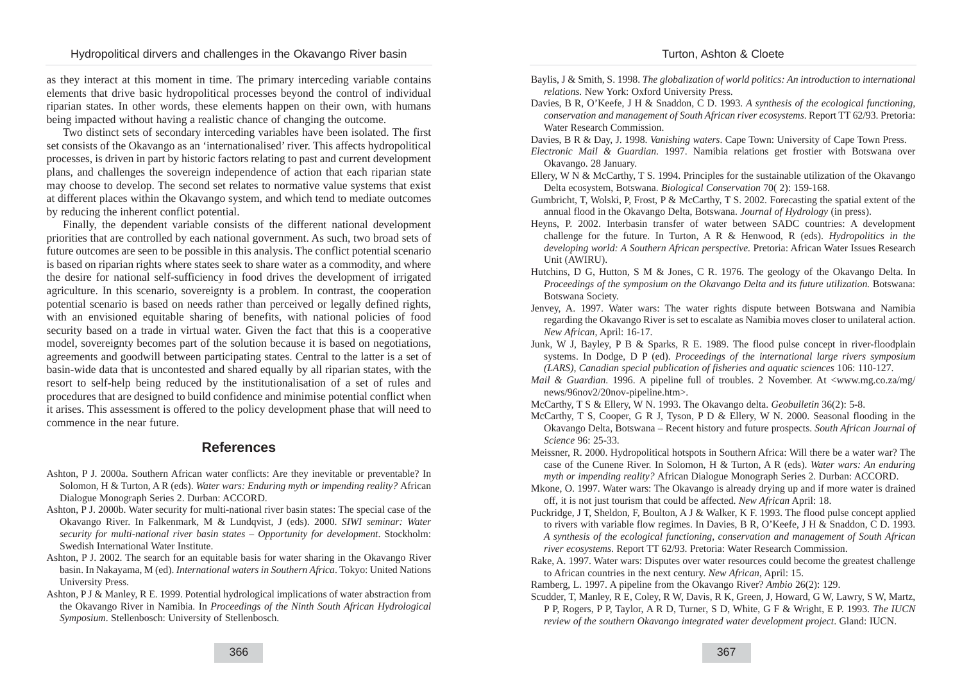Turton, Ashton & Cloete

as they interact at this moment in time. The primary interceding variable contains elements that drive basic hydropolitical processes beyond the control of individual riparian states. In other words, these elements happen on their own, with humans being impacted without having a realistic chance of changing the outcome.

Two distinct sets of secondary interceding variables have been isolated. The first set consists of the Okavango as an 'internationalised' river. This affects hydropolitical processes, is driven in part by historic factors relating to past and current development plans, and challenges the sovereign independence of action that each riparian state may choose to develop. The second set relates to normative value systems that exist at different places within the Okavango system, and which tend to mediate outcomes by reducing the inherent conflict potential.

Finally, the dependent variable consists of the different national development priorities that are controlled by each national government. As such, two broad sets of future outcomes are seen to be possible in this analysis. The conflict potential scenario is based on riparian rights where states seek to share water as a commodity, and where the desire for national self-sufficiency in food drives the development of irrigated agriculture. In this scenario, sovereignty is a problem. In contrast, the cooperation potential scenario is based on needs rather than perceived or legally defined rights, with an envisioned equitable sharing of benefits, with national policies of food security based on a trade in virtual water. Given the fact that this is a cooperative model, sovereignty becomes part of the solution because it is based on negotiations, agreements and goodwill between participating states. Central to the latter is a set of basin-wide data that is uncontested and shared equally by all riparian states, with the resort to self-help being reduced by the institutionalisation of a set of rules and procedures that are designed to build confidence and minimise potential conflict when it arises. This assessment is offered to the policy development phase that will need to commence in the near future.

## **References**

- Ashton, P J. 2000a. Southern African water conflicts: Are they inevitable or preventable? In Solomon, H & Turton, A R (eds). *Water wars: Enduring myth or impending reality?* African Dialogue Monograph Series 2. Durban: ACCORD.
- Ashton, P J. 2000b. Water security for multi-national river basin states: The special case of the Okavango River. In Falkenmark, M & Lundqvist, J (eds). 2000. *SIWI seminar: Water security for multi-national river basin states – Opportunity for development*. Stockholm: Swedish International Water Institute.
- Ashton, P J. 2002. The search for an equitable basis for water sharing in the Okavango River basin. In Nakayama, M (ed). *International waters in Southern Africa*. Tokyo: United Nations University Press.
- Ashton, P J & Manley, R E. 1999. Potential hydrological implications of water abstraction from the Okavango River in Namibia. In *Proceedings of the Ninth South African Hydrological Symposium*. Stellenbosch: University of Stellenbosch.
- Baylis, J & Smith, S. 1998. *The globalization of world politics: An introduction to international relations.* New York: Oxford University Press.
- Davies, B R, O'Keefe, J H & Snaddon, C D. 1993. *A synthesis of the ecological functioning, conservation and management of South African river ecosystems*. Report TT 62/93. Pretoria: Water Research Commission.

Davies, B R & Day, J. 1998. *Vanishing waters*. Cape Town: University of Cape Town Press.

- *Electronic Mail & Guardian*. 1997. Namibia relations get frostier with Botswana over Okavango. 28 January.
- Ellery, W N & McCarthy, T S. 1994. Principles for the sustainable utilization of the Okavango Delta ecosystem, Botswana. *Biological Conservation* 70( 2): 159-168.
- Gumbricht, T, Wolski, P, Frost, P & McCarthy, T S. 2002. Forecasting the spatial extent of the annual flood in the Okavango Delta, Botswana. *Journal of Hydrology* (in press).
- Heyns, P. 2002. Interbasin transfer of water between SADC countries: A development challenge for the future. In Turton, A R & Henwood, R (eds). *Hydropolitics in the developing world: A Southern African perspective.* Pretoria: African Water Issues Research Unit (AWIRU).
- Hutchins, D G, Hutton, S M & Jones, C R. 1976. The geology of the Okavango Delta. In *Proceedings of the symposium on the Okavango Delta and its future utilization.* Botswana: Botswana Society.
- Jenvey, A. 1997. Water wars: The water rights dispute between Botswana and Namibia regarding the Okavango River is set to escalate as Namibia moves closer to unilateral action. *New African*, April: 16-17.
- Junk, W J, Bayley, P B & Sparks, R E. 1989. The flood pulse concept in river-floodplain systems. In Dodge, D P (ed). *Proceedings of the international large rivers symposium (LARS), Canadian special publication of fisheries and aquatic sciences* 106: 110-127.
- *Mail & Guardian.* 1996. A pipeline full of troubles. 2 November. At  $\langle$ www.mg.co.za/mg/ news/96nov2/20nov-pipeline.htm>.
- McCarthy, T S & Ellery, W N. 1993. The Okavango delta. *Geobulletin* 36(2): 5-8.
- McCarthy, T S, Cooper, G R J, Tyson, P D & Ellery, W N. 2000. Seasonal flooding in the Okavango Delta, Botswana – Recent history and future prospects. *South African Journal of Science* 96: 25-33.
- Meissner, R. 2000. Hydropolitical hotspots in Southern Africa: Will there be a water war? The case of the Cunene River. In Solomon, H & Turton, A R (eds). *Water wars: An enduring myth or impending reality?* African Dialogue Monograph Series 2. Durban: ACCORD.
- Mkone, O. 1997. Water wars: The Okavango is already drying up and if more water is drained off, it is not just tourism that could be affected. *New African* April: 18.
- Puckridge, J T, Sheldon, F, Boulton, A J & Walker, K F. 1993. The flood pulse concept applied to rivers with variable flow regimes. In Davies, B R, O'Keefe, J H & Snaddon, C D. 1993. *A synthesis of the ecological functioning, conservation and management of South African river ecosystems*. Report TT 62/93. Pretoria: Water Research Commission.
- Rake, A. 1997. Water wars: Disputes over water resources could become the greatest challenge to African countries in the next century. *New African*, April: 15.
- Ramberg, L. 1997. A pipeline from the Okavango River? *Ambio* 26(2): 129.
- Scudder, T, Manley, R E, Coley, R W, Davis, R K, Green, J, Howard, G W, Lawry, S W, Martz, P P, Rogers, P P, Taylor, A R D, Turner, S D, White, G F & Wright, E P. 1993. *The IUCN review of the southern Okavango integrated water development project*. Gland: IUCN.